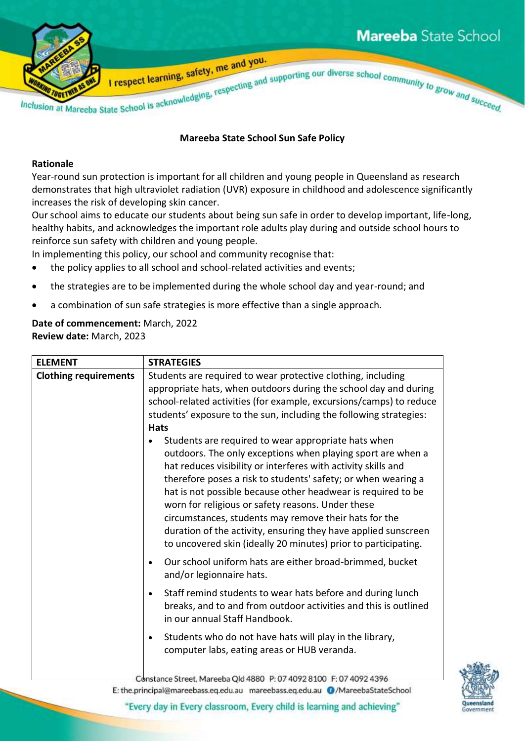

## **Mareeba State School Sun Safe Policy**

## **Rationale**

Year-round sun protection is important for all children and young people in Queensland as research demonstrates that high ultraviolet radiation (UVR) exposure in childhood and adolescence significantly increases the risk of developing skin cancer.

Our school aims to educate our students about being sun safe in order to develop important, life-long, healthy habits, and acknowledges the important role adults play during and outside school hours to reinforce sun safety with children and young people.

In implementing this policy, our school and community recognise that:

- the policy applies to all school and school-related activities and events;
- the strategies are to be implemented during the whole school day and year-round; and
- a combination of sun safe strategies is more effective than a single approach.

## **Date of commencement:** March, 2022 **Review date:** March, 2023

| <b>ELEMENT</b>               | <b>STRATEGIES</b>                                                                                                                                                                                                                                                                                                                                                                                                                                                                                                                                                      |  |
|------------------------------|------------------------------------------------------------------------------------------------------------------------------------------------------------------------------------------------------------------------------------------------------------------------------------------------------------------------------------------------------------------------------------------------------------------------------------------------------------------------------------------------------------------------------------------------------------------------|--|
| <b>Clothing requirements</b> | Students are required to wear protective clothing, including<br>appropriate hats, when outdoors during the school day and during<br>school-related activities (for example, excursions/camps) to reduce<br>students' exposure to the sun, including the following strategies:                                                                                                                                                                                                                                                                                          |  |
|                              | <b>Hats</b>                                                                                                                                                                                                                                                                                                                                                                                                                                                                                                                                                            |  |
|                              | Students are required to wear appropriate hats when<br>outdoors. The only exceptions when playing sport are when a<br>hat reduces visibility or interferes with activity skills and<br>therefore poses a risk to students' safety; or when wearing a<br>hat is not possible because other headwear is required to be<br>worn for religious or safety reasons. Under these<br>circumstances, students may remove their hats for the<br>duration of the activity, ensuring they have applied sunscreen<br>to uncovered skin (ideally 20 minutes) prior to participating. |  |
|                              | Our school uniform hats are either broad-brimmed, bucket<br>$\bullet$<br>and/or legionnaire hats.                                                                                                                                                                                                                                                                                                                                                                                                                                                                      |  |
|                              | Staff remind students to wear hats before and during lunch<br>$\bullet$<br>breaks, and to and from outdoor activities and this is outlined<br>in our annual Staff Handbook.                                                                                                                                                                                                                                                                                                                                                                                            |  |
|                              | Students who do not have hats will play in the library,<br>$\bullet$<br>computer labs, eating areas or HUB veranda.                                                                                                                                                                                                                                                                                                                                                                                                                                                    |  |
|                              | Constance Street, Mareeba Old 4880 P: 07 4092 8100 F: 07 4092 439                                                                                                                                                                                                                                                                                                                                                                                                                                                                                                      |  |



E: the.principal@mareebass.eq.edu.au mareebass.eq.edu.au @/MareebaStateSchool

"Every day in Every classroom, Every child is learning and achieving"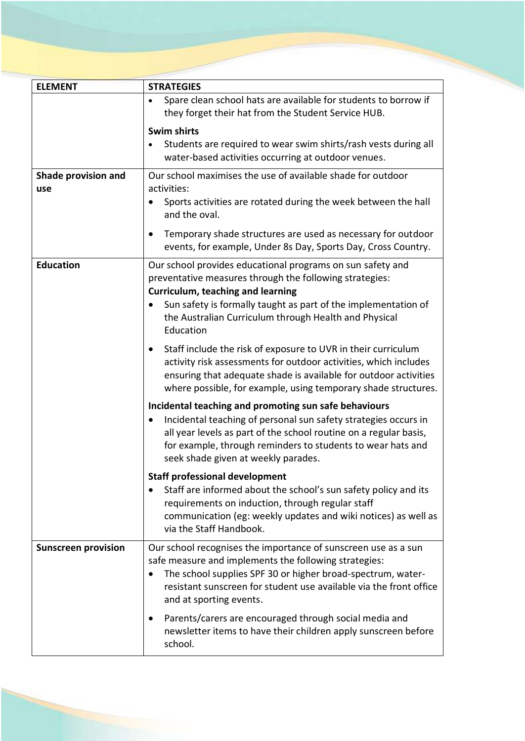| <b>ELEMENT</b>             | <b>STRATEGIES</b>                                                                                                                                                                                                                                                                                   |  |
|----------------------------|-----------------------------------------------------------------------------------------------------------------------------------------------------------------------------------------------------------------------------------------------------------------------------------------------------|--|
|                            | Spare clean school hats are available for students to borrow if<br>they forget their hat from the Student Service HUB.                                                                                                                                                                              |  |
|                            | Swim shirts<br>Students are required to wear swim shirts/rash vests during all<br>$\bullet$<br>water-based activities occurring at outdoor venues.                                                                                                                                                  |  |
| Shade provision and<br>use | Our school maximises the use of available shade for outdoor<br>activities:<br>Sports activities are rotated during the week between the hall                                                                                                                                                        |  |
|                            | and the oval.<br>Temporary shade structures are used as necessary for outdoor<br>events, for example, Under 8s Day, Sports Day, Cross Country.                                                                                                                                                      |  |
| <b>Education</b>           | Our school provides educational programs on sun safety and<br>preventative measures through the following strategies:<br>Curriculum, teaching and learning<br>Sun safety is formally taught as part of the implementation of<br>the Australian Curriculum through Health and Physical<br>Education  |  |
|                            | Staff include the risk of exposure to UVR in their curriculum<br>٠<br>activity risk assessments for outdoor activities, which includes<br>ensuring that adequate shade is available for outdoor activities<br>where possible, for example, using temporary shade structures.                        |  |
|                            | Incidental teaching and promoting sun safe behaviours<br>Incidental teaching of personal sun safety strategies occurs in<br>all year levels as part of the school routine on a regular basis,<br>for example, through reminders to students to wear hats and<br>seek shade given at weekly parades. |  |
|                            | <b>Staff professional development</b><br>Staff are informed about the school's sun safety policy and its<br>requirements on induction, through regular staff<br>communication (eg: weekly updates and wiki notices) as well as<br>via the Staff Handbook.                                           |  |
| <b>Sunscreen provision</b> | Our school recognises the importance of sunscreen use as a sun<br>safe measure and implements the following strategies:<br>The school supplies SPF 30 or higher broad-spectrum, water-<br>٠<br>resistant sunscreen for student use available via the front office<br>and at sporting events.        |  |
|                            | Parents/carers are encouraged through social media and<br>newsletter items to have their children apply sunscreen before<br>school.                                                                                                                                                                 |  |